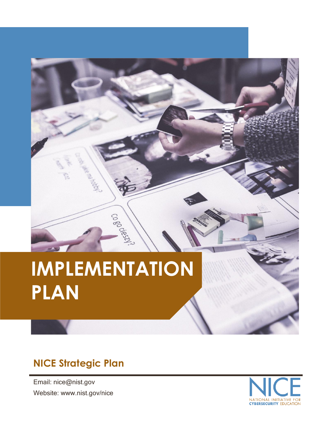# **IMPLEMENTATION PLAN**

Cogodest!

### **NICE Strategic Plan**

Email: nice@nist.gov Website: www.nist.gov/nice

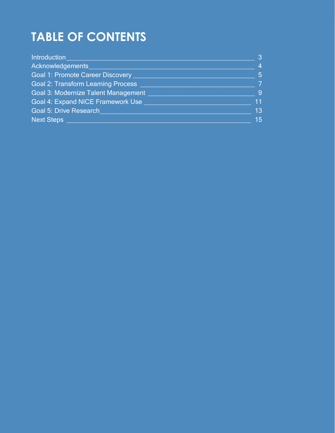## **TABLE OF CONTENTS**

| Introduction                               | 3               |
|--------------------------------------------|-----------------|
| Acknowledgements                           | $\overline{4}$  |
| <b>Goal 1: Promote Career Discovery</b>    | $5\overline{5}$ |
| <b>Goal 2: Transform Learning Process</b>  | $\overline{7}$  |
| <b>Goal 3: Modernize Talent Management</b> | $\overline{9}$  |
| Goal 4: Expand NICE Framework Use          | 11              |
| Goal 5: Drive Research                     | 13              |
| <b>Next Steps</b>                          | 15              |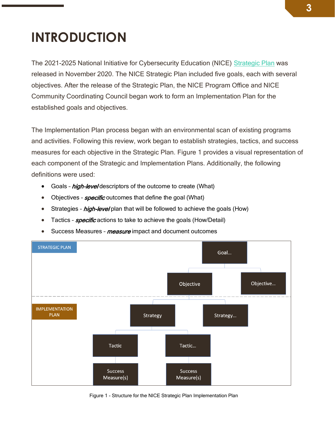## <span id="page-2-0"></span>**INTRODUCTION**

The 2021-2025 National Initiative for Cybersecurity Education (NICE) [Strategic Plan](https://www.nist.gov/itl/applied-cybersecurity/nice/about/strategic-plan) was released in November 2020. The NICE Strategic Plan included five goals, each with several objectives. After the release of the Strategic Plan, the NICE Program Office and NICE Community Coordinating Council began work to form an Implementation Plan for the established goals and objectives.

The Implementation Plan process began with an environmental scan of existing programs and activities. Following this review, work began to establish strategies, tactics, and success measures for each objective in the Strategic Plan. Figure 1 provides a visual representation of each component of the Strategic and Implementation Plans. Additionally, the following definitions were used:

- Goals high-level descriptors of the outcome to create (What)
- Objectives *specific* outcomes that define the goal (What)
- Strategies *high-level* plan that will be followed to achieve the goals (How)
- Tactics *specific* actions to take to achieve the goals (How/Detail)
- Success Measures measure impact and document outcomes



Figure 1 - Structure for the NICE Strategic Plan Implementation Plan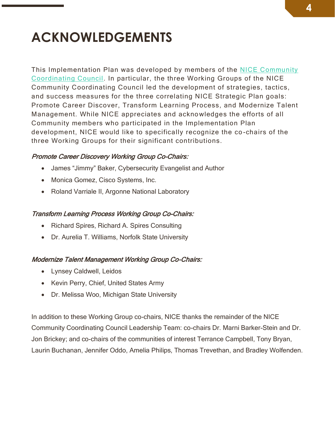## <span id="page-3-0"></span>**ACKNOWLEDGEMENTS**

This Implementation Plan was developed by members of the [NICE Community](https://www.nist.gov/itl/applied-cybersecurity/nice/about/community-coordinating-council) [Coordinating Council.](https://www.nist.gov/itl/applied-cybersecurity/nice/about/community-coordinating-council) In particular, the three Working Groups of the NICE Community Coordinating Council led the development of strategies, tactics, and success measures for the three correlating NICE Strategic Plan goals: Promote Career Discover, Transform Learning Process, and Modernize Talent Management. While NICE appreciates and acknowledges the efforts of all Community members who participated in the Implementation Plan development, NICE would like to specifically recognize the co -chairs of the three Working Groups for their significant contributions.

#### Promote Career Discovery Working Group Co-Chairs:

- James "Jimmy" Baker, Cybersecurity Evangelist and Author
- Monica Gomez, Cisco Systems, Inc.
- Roland Varriale II, Argonne National Laboratory

#### Transform Learning Process Working Group Co-Chairs:

- Richard Spires, Richard A. Spires Consulting
- Dr. Aurelia T. Williams, Norfolk State University

#### Modernize Talent Management Working Group Co-Chairs:

- Lynsey Caldwell, Leidos
- Kevin Perry, Chief, United States Army
- Dr. Melissa Woo, Michigan State University

In addition to these Working Group co-chairs, NICE thanks the remainder of the NICE Community Coordinating Council Leadership Team: co-chairs Dr. Marni Barker-Stein and Dr. Jon Brickey; and co-chairs of the communities of interest Terrance Campbell, Tony Bryan, Laurin Buchanan, Jennifer Oddo, Amelia Philips, Thomas Trevethan, and Bradley Wolfenden.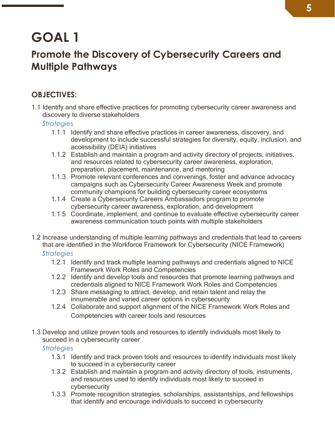### <span id="page-4-0"></span>**Promote the Discovery of Cybersecurity Careers and Multiple Pathways**

### **OBJECTIVES:**

1.1 Identify and share effective practices for promoting cybersecurity career awareness and discovery to diverse stakeholders

*Strategies*

- 1.1.1 Identify and share effective practices in career awareness, discovery, and development to include successful strategies for diversity, equity, inclusion, and accessibility (DEIA) initiatives
- 1.1.2 Establish and maintain a program and activity directory of projects, initiatives, and resources related to cybersecurity career awareness, exploration, preparation, placement, maintenance, and mentoring
- 1.1.3 Promote relevant conferences and convenings, foster and advance advocacy campaigns such as Cybersecurity Career Awareness Week and promote community champions for building cybersecurity career ecosystems
- 1.1.4 Create a Cybersecurity Careers Ambassadors program to promote cybersecurity career awareness, exploration, and development
- 1.1.5 Coordinate, implement, and continue to evaluate effective cybersecurity career awareness communication touch points with multiple stakeholders
- 1.2 Increase understanding of multiple learning pathways and credentials that lead to careers that are identified in the Workforce Framework for Cybersecurity (NICE Framework) *Strategies*
	- 1.2.1 Identify and track multiple learning pathways and credentials aligned to NICE Framework Work Roles and Competencies
	- 1.2.2 Identify and develop tools and resources that promote learning pathways and credentials aligned to NICE Framework Work Roles and Competencies
	- 1.2.3 Share messaging to attract, develop, and retain talent and relay the innumerable and varied career options in cybersecurity
	- 1.2.4 Collaborate and support alignment of the NICE Framework Work Roles and Competencies with career tools and resources
- 1.3 Develop and utilize proven tools and resources to identify individuals most likely to succeed in a cybersecurity career

- 1.3.1 Identify and track proven tools and resources to identify individuals most likely to succeed in a cybersecurity career
- 1.3.2 Establish and maintain a program and activity directory of tools, instruments, and resources used to identify individuals most likely to succeed in cybersecurity
- 1.3.3 Promote recognition strategies, scholarships, assistantships, and fellowships that identify and encourage individuals to succeed in cybersecurity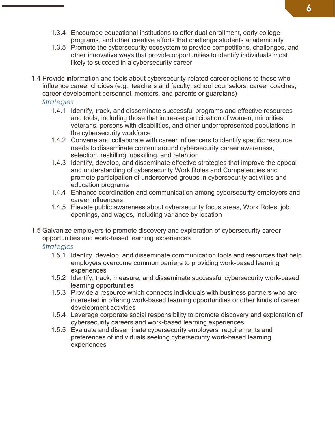- 1.3.4 Encourage educational institutions to offer dual enrollment, early college programs, and other creative efforts that challenge students academically
- 1.3.5 Promote the cybersecurity ecosystem to provide competitions, challenges, and other innovative ways that provide opportunities to identify individuals most likely to succeed in a cybersecurity career
- 1.4 Provide information and tools about cybersecurity-related career options to those who influence career choices (e.g., teachers and faculty, school counselors, career coaches, career development personnel, mentors, and parents or guardians)

#### *Strategies*

- 1.4.1 Identify, track, and disseminate successful programs and effective resources and tools, including those that increase participation of women, minorities, veterans, persons with disabilities, and other underrepresented populations in the cybersecurity workforce
- 1.4.2 Convene and collaborate with career influencers to identify specific resource needs to disseminate content around cybersecurity career awareness, selection, reskilling, upskilling, and retention
- 1.4.3 Identify, develop, and disseminate effective strategies that improve the appeal and understanding of cybersecurity Work Roles and Competencies and promote participation of underserved groups in cybersecurity activities and education programs
- 1.4.4 Enhance coordination and communication among cybersecurity employers and career influencers
- 1.4.5 Elevate public awareness about cybersecurity focus areas, Work Roles, job openings, and wages, including variance by location
- 1.5 Galvanize employers to promote discovery and exploration of cybersecurity career opportunities and work-based learning experiences

- 1.5.1 Identify, develop, and disseminate communication tools and resources that help employers overcome common barriers to providing work-based learning experiences
- 1.5.2 Identify, track, measure, and disseminate successful cybersecurity work-based learning opportunities
- 1.5.3 Provide a resource which connects individuals with business partners who are interested in offering work-based learning opportunities or other kinds of career development activities
- 1.5.4 Leverage corporate social responsibility to promote discovery and exploration of cybersecurity careers and work-based learning experiences
- 1.5.5 Evaluate and disseminate cybersecurity employers' requirements and preferences of individuals seeking cybersecurity work-based learning experiences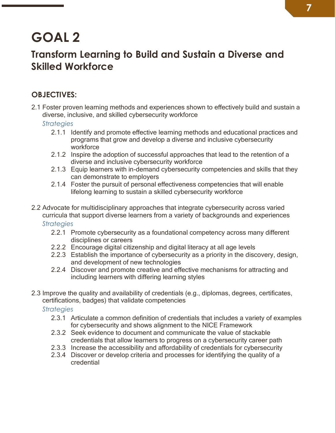### <span id="page-6-0"></span>**Transform Learning to Build and Sustain a Diverse and Skilled Workforce**

### **OBJECTIVES:**

2.1 Foster proven learning methods and experiences shown to effectively build and sustain a diverse, inclusive, and skilled cybersecurity workforce

*Strategies*

- 2.1.1 Identify and promote effective learning methods and educational practices and programs that grow and develop a diverse and inclusive cybersecurity workforce
- 2.1.2 Inspire the adoption of successful approaches that lead to the retention of a diverse and inclusive cybersecurity workforce
- 2.1.3 Equip learners with in-demand cybersecurity competencies and skills that they can demonstrate to employers
- 2.1.4 Foster the pursuit of personal effectiveness competencies that will enable lifelong learning to sustain a skilled cybersecurity workforce
- 2.2 Advocate for multidisciplinary approaches that integrate cybersecurity across varied curricula that support diverse learners from a variety of backgrounds and experiences *Strategies*
	- 2.2.1 Promote cybersecurity as a foundational competency across many different disciplines or careers
	- 2.2.2 Encourage digital citizenship and digital literacy at all age levels
	- 2.2.3 Establish the importance of cybersecurity as a priority in the discovery, design, and development of new technologies
	- 2.2.4 Discover and promote creative and effective mechanisms for attracting and including learners with differing learning styles
- 2.3 Improve the quality and availability of credentials (e.g., diplomas, degrees, certificates, certifications, badges) that validate competencies

- 2.3.1 Articulate a common definition of credentials that includes a variety of examples for cybersecurity and shows alignment to the NICE Framework
- 2.3.2 Seek evidence to document and communicate the value of stackable credentials that allow learners to progress on a cybersecurity career path
- 2.3.3 Increase the accessibility and affordability of credentials for cybersecurity
- 2.3.4 Discover or develop criteria and processes for identifying the quality of a credential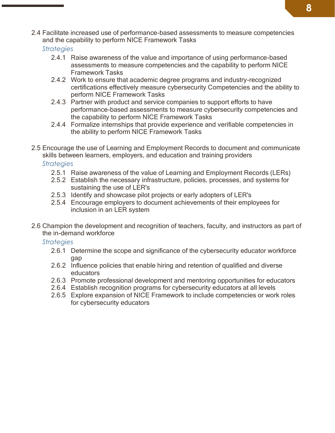2.4 Facilitate increased use of performance-based assessments to measure competencies and the capability to perform NICE Framework Tasks

*Strategies*

- 2.4.1 Raise awareness of the value and importance of using performance-based assessments to measure competencies and the capability to perform NICE Framework Tasks
- 2.4.2 Work to ensure that academic degree programs and industry-recognized certifications effectively measure cybersecurity Competencies and the ability to perform NICE Framework Tasks
- 2.4.3 Partner with product and service companies to support efforts to have performance-based assessments to measure cybersecurity competencies and the capability to perform NICE Framework Tasks
- 2.4.4 Formalize internships that provide experience and verifiable competencies in the ability to perform NICE Framework Tasks
- 2.5 Encourage the use of Learning and Employment Records to document and communicate skills between learners, employers, and education and training providers

*Strategies*

- 2.5.1 Raise awareness of the value of Learning and Employment Records (LERs)
- 2.5.2 Establish the necessary infrastructure, policies, processes, and systems for sustaining the use of LER's
- 2.5.3 Identify and showcase pilot projects or early adopters of LER's
- 2.5.4 Encourage employers to document achievements of their employees for inclusion in an LER system
- 2.6 Champion the development and recognition of teachers, faculty, and instructors as part of the in-demand workforce

- 2.6.1 Determine the scope and significance of the cybersecurity educator workforce gap
- 2.6.2 Influence policies that enable hiring and retention of qualified and diverse educators
- 2.6.3 Promote professional development and mentoring opportunities for educators
- 2.6.4 Establish recognition programs for cybersecurity educators at all levels
- 2.6.5 Explore expansion of NICE Framework to include competencies or work roles for cybersecurity educators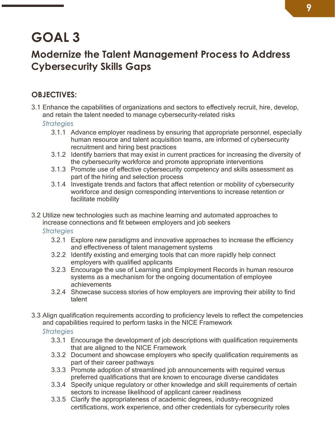### <span id="page-8-0"></span>**Modernize the Talent Management Process to Address Cybersecurity Skills Gaps**

### **OBJECTIVES:**

3.1 Enhance the capabilities of organizations and sectors to effectively recruit, hire, develop, and retain the talent needed to manage cybersecurity-related risks

*Strategies*

- 3.1.1 Advance employer readiness by ensuring that appropriate personnel, especially human resource and talent acquisition teams, are informed of cybersecurity recruitment and hiring best practices
- 3.1.2 Identify barriers that may exist in current practices for increasing the diversity of the cybersecurity workforce and promote appropriate interventions
- 3.1.3 Promote use of effective cybersecurity competency and skills assessment as part of the hiring and selection process
- 3.1.4 Investigate trends and factors that affect retention or mobility of cybersecurity workforce and design corresponding interventions to increase retention or facilitate mobility
- 3.2 Utilize new technologies such as machine learning and automated approaches to increase connections and fit between employers and job seekers

*Strategies*

- 3.2.1 Explore new paradigms and innovative approaches to increase the efficiency and effectiveness of talent management systems
- 3.2.2 Identify existing and emerging tools that can more rapidly help connect employers with qualified applicants
- 3.2.3 Encourage the use of Learning and Employment Records in human resource systems as a mechanism for the ongoing documentation of employee achievements
- 3.2.4 Showcase success stories of how employers are improving their ability to find talent
- 3.3 Align qualification requirements according to proficiency levels to reflect the competencies and capabilities required to perform tasks in the NICE Framework

- 3.3.1 Encourage the development of job descriptions with qualification requirements that are aligned to the NICE Framework
- 3.3.2 Document and showcase employers who specify qualification requirements as part of their career pathways
- 3.3.3 Promote adoption of streamlined job announcements with required versus preferred qualifications that are known to encourage diverse candidates
- 3.3.4 Specify unique regulatory or other knowledge and skill requirements of certain sectors to increase likelihood of applicant career readiness
- 3.3.5 Clarify the appropriateness of academic degrees, industry-recognized certifications, work experience, and other credentials for cybersecurity roles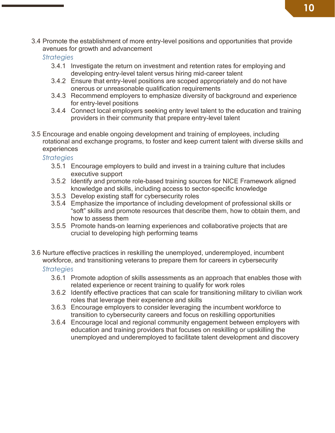3.4 Promote the establishment of more entry-level positions and opportunities that provide avenues for growth and advancement

*Strategies*

- 3.4.1 Investigate the return on investment and retention rates for employing and developing entry-level talent versus hiring mid-career talent
- 3.4.2 Ensure that entry-level positions are scoped appropriately and do not have onerous or unreasonable qualification requirements
- 3.4.3 Recommend employers to emphasize diversity of background and experience for entry-level positions
- 3.4.4 Connect local employers seeking entry level talent to the education and training providers in their community that prepare entry-level talent
- 3.5 Encourage and enable ongoing development and training of employees, including rotational and exchange programs, to foster and keep current talent with diverse skills and experiences

*Strategies*

- 3.5.1 Encourage employers to build and invest in a training culture that includes executive support
- 3.5.2 Identify and promote role-based training sources for NICE Framework aligned knowledge and skills, including access to sector-specific knowledge
- 3.5.3 Develop existing staff for cybersecurity roles
- 3.5.4 Emphasize the importance of including development of professional skills or "soft" skills and promote resources that describe them, how to obtain them, and how to assess them
- 3.5.5 Promote hands-on learning experiences and collaborative projects that are crucial to developing high performing teams
- 3.6 Nurture effective practices in reskilling the unemployed, underemployed, incumbent workforce, and transitioning veterans to prepare them for careers in cybersecurity

- 3.6.1 Promote adoption of skills assessments as an approach that enables those with related experience or recent training to qualify for work roles
- 3.6.2 Identify effective practices that can scale for transitioning military to civilian work roles that leverage their experience and skills
- 3.6.3 Encourage employers to consider leveraging the incumbent workforce to transition to cybersecurity careers and focus on reskilling opportunities
- 3.6.4 Encourage local and regional community engagement between employers with education and training providers that focuses on reskilling or upskilling the unemployed and underemployed to facilitate talent development and discovery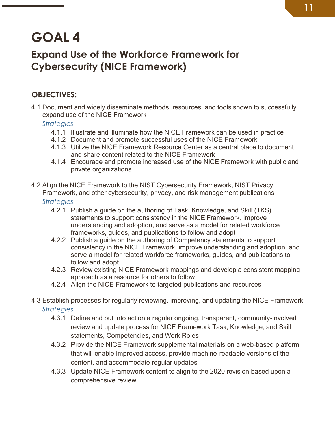### <span id="page-10-0"></span>**Expand Use of the Workforce Framework for Cybersecurity (NICE Framework)**

### **OBJECTIVES:**

4.1 Document and widely disseminate methods, resources, and tools shown to successfully expand use of the NICE Framework

*Strategies*

- 4.1.1 Illustrate and illuminate how the NICE Framework can be used in practice
- 4.1.2 Document and promote successful uses of the NICE Framework
- 4.1.3 Utilize the NICE Framework Resource Center as a central place to document and share content related to the NICE Framework
- 4.1.4 Encourage and promote increased use of the NICE Framework with public and private organizations
- 4.2 Align the NICE Framework to the NIST Cybersecurity Framework, NIST Privacy Framework, and other cybersecurity, privacy, and risk management publications

- 4.2.1 Publish a guide on the authoring of Task, Knowledge, and Skill (TKS) statements to support consistency in the NICE Framework, improve understanding and adoption, and serve as a model for related workforce frameworks, guides, and publications to follow and adopt
- 4.2.2 Publish a guide on the authoring of Competency statements to support consistency in the NICE Framework, improve understanding and adoption, and serve a model for related workforce frameworks, guides, and publications to follow and adopt
- 4.2.3 Review existing NICE Framework mappings and develop a consistent mapping approach as a resource for others to follow
- 4.2.4 Align the NICE Framework to targeted publications and resources
- 4.3 Establish processes for regularly reviewing, improving, and updating the NICE Framework *Strategies*
	- 4.3.1 Define and put into action a regular ongoing, transparent, community-involved review and update process for NICE Framework Task, Knowledge, and Skill statements, Competencies, and Work Roles
	- 4.3.2 Provide the NICE Framework supplemental materials on a web-based platform that will enable improved access, provide machine-readable versions of the content, and accommodate regular updates
	- 4.3.3 Update NICE Framework content to align to the 2020 revision based upon a comprehensive review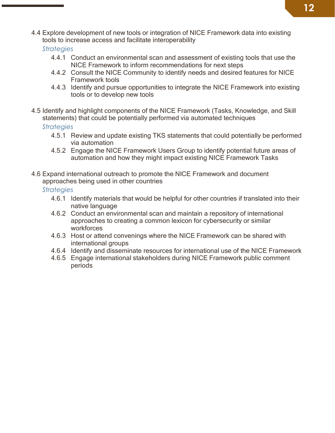4.4 Explore development of new tools or integration of NICE Framework data into existing tools to increase access and facilitate interoperability

*Strategies*

- 4.4.1 Conduct an environmental scan and assessment of existing tools that use the NICE Framework to inform recommendations for next steps
- 4.4.2 Consult the NICE Community to identify needs and desired features for NICE Framework tools
- 4.4.3 Identify and pursue opportunities to integrate the NICE Framework into existing tools or to develop new tools
- 4.5 Identify and highlight components of the NICE Framework (Tasks, Knowledge, and Skill statements) that could be potentially performed via automated techniques

*Strategies*

- 4.5.1 Review and update existing TKS statements that could potentially be performed via automation
- 4.5.2 Engage the NICE Framework Users Group to identify potential future areas of automation and how they might impact existing NICE Framework Tasks
- 4.6 Expand international outreach to promote the NICE Framework and document approaches being used in other countries

- 4.6.1 Identify materials that would be helpful for other countries if translated into their native language
- 4.6.2 Conduct an environmental scan and maintain a repository of international approaches to creating a common lexicon for cybersecurity or similar workforces
- 4.6.3 Host or attend convenings where the NICE Framework can be shared with international groups
- 4.6.4 Identify and disseminate resources for international use of the NICE Framework
- 4.6.5 Engage international stakeholders during NICE Framework public comment periods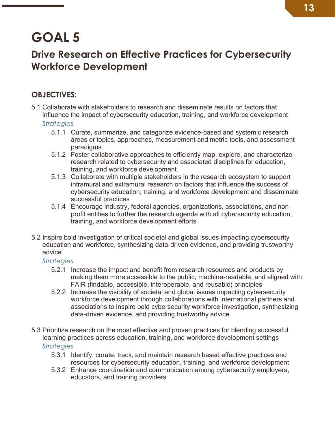### <span id="page-12-0"></span>**Drive Research on Effective Practices for Cybersecurity Workforce Development**

### **OBJECTIVES:**

- 5.1 Collaborate with stakeholders to research and disseminate results on factors that influence the impact of cybersecurity education, training, and workforce development *Strategies*
	- 5.1.1 Curate, summarize, and categorize evidence-based and systemic research areas or topics, approaches, measurement and metric tools, and assessment paradigms
	- 5.1.2 Foster collaborative approaches to efficiently map, explore, and characterize research related to cybersecurity and associated disciplines for education, training, and workforce development
	- 5.1.3 Collaborate with multiple stakeholders in the research ecosystem to support intramural and extramural research on factors that influence the success of cybersecurity education, training, and workforce development and disseminate successful practices
	- 5.1.4 Encourage industry, federal agencies, organizations, associations, and nonprofit entities to further the research agenda with all cybersecurity education, training, and workforce development efforts
- 5.2 Inspire bold investigation of critical societal and global issues impacting cybersecurity education and workforce, synthesizing data-driven evidence, and providing trustworthy advice
	- *Strategies*
		- 5.2.1 Increase the impact and benefit from research resources and products by making them more accessible to the public, machine-readable, and aligned with FAIR (findable, accessible, interoperable, and reusable) principles
		- 5.2.2 Increase the visibility of societal and global issues impacting cybersecurity workforce development through collaborations with international partners and associations to inspire bold cybersecurity workforce investigation, synthesizing data-driven evidence, and providing trustworthy advice
- 5.3 Prioritize research on the most effective and proven practices for blending successful learning practices across education, training, and workforce development settings *Strategies*
	- 5.3.1 Identify, curate, track, and maintain research based effective practices and resources for cybersecurity education, training, and workforce development
	- 5.3.2 Enhance coordination and communication among cybersecurity employers, educators, and training providers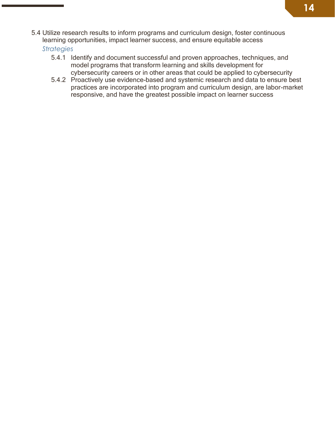5.4 Utilize research results to inform programs and curriculum design, foster continuous learning opportunities, impact learner success, and ensure equitable access

- 5.4.1 Identify and document successful and proven approaches, techniques, and model programs that transform learning and skills development for cybersecurity careers or in other areas that could be applied to cybersecurity
- 5.4.2 Proactively use evidence-based and systemic research and data to ensure best practices are incorporated into program and curriculum design, are labor-market responsive, and have the greatest possible impact on learner success